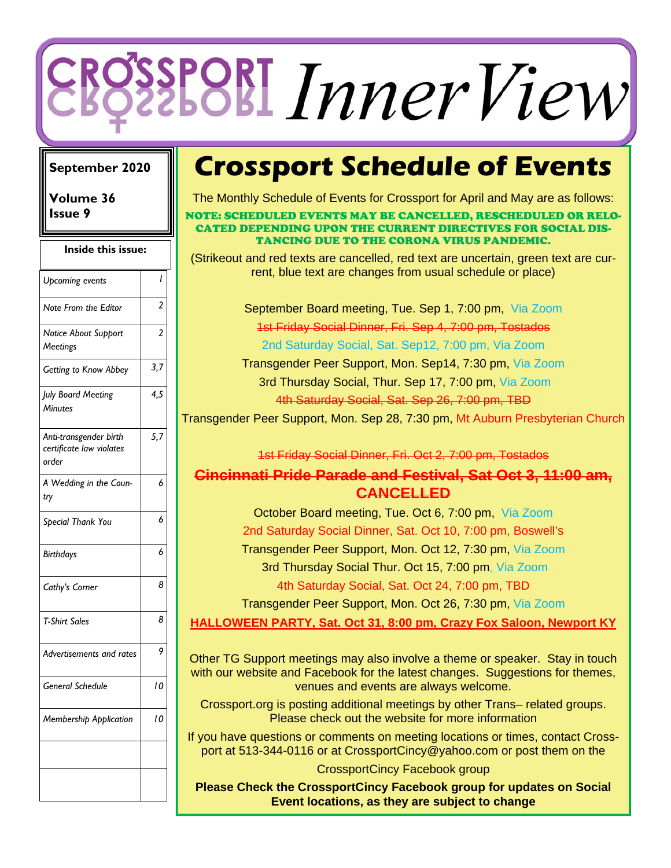# *InnerView*

### **September 2020**

**Volume 36 Issue 9** 

| Inside this issue:                                          |                |
|-------------------------------------------------------------|----------------|
| <b>Upcoming events</b>                                      | I              |
| Note From the Editor                                        | 2              |
| Notice About Support<br>Meetings                            | $\overline{a}$ |
| Getting to Know Abbey                                       | 3,7            |
| July Board Meeting<br><b>Minutes</b>                        | 4,5            |
| Anti-transgender birth<br>certificate law violates<br>order | 5,7            |
| A Wedding in the Coun-<br>try                               | 6              |
| Special Thank You                                           | 6              |
| <b>Birthdays</b>                                            | 6              |
| Cathy's Corner                                              | 8              |
| <b>T-Shirt Sales</b>                                        | 8              |
| Advertisements and rates                                    | 9              |
| <b>General Schedule</b>                                     | 10             |
| Membership Application                                      | 10             |
|                                                             |                |

## **Crossport Schedule of Events**

The Monthly Schedule of Events for Crossport for April and May are as follows:

NOTE: SCHEDULED EVENTS MAY BE CANCELLED, RESCHEDULED OR RELO-CATED DEPENDING UPON THE CURRENT DIRECTIVES FOR SOCIAL DIS-TANCING DUE TO THE CORONA VIRUS PANDEMIC.

(Strikeout and red texts are cancelled, red text are uncertain, green text are current, blue text are changes from usual schedule or place)

> September Board meeting, Tue. Sep 1, 7:00 pm, Via Zoom 1st Friday Social Dinner, Fri. Sep 4, 7:00 pm, Tostados 2nd Saturday Social, Sat. Sep12, 7:00 pm, Via Zoom

Transgender Peer Support, Mon. Sep14, 7:30 pm, Via Zoom 3rd Thursday Social, Thur. Sep 17, 7:00 pm, Via Zoom 4th Saturday Social, Sat. Sep 26, 7:00 pm, TBD

Transgender Peer Support, Mon. Sep 28, 7:30 pm, Mt Auburn Presbyterian Church

1st Friday Social Dinner, Fri. Oct 2, 7:00 pm, Tostados

### **Cincinnati Pride Parade and Festival, Sat Oct 3, 11:00 am, CANCELLED**

October Board meeting, Tue. Oct 6, 7:00 pm, Via Zoom 2nd Saturday Social Dinner, Sat. Oct 10, 7:00 pm, Boswell's Transgender Peer Support, Mon. Oct 12, 7:30 pm, Via Zoom 3rd Thursday Social Thur. Oct 15, 7:00 pm, Via Zoom 4th Saturday Social, Sat. Oct 24, 7:00 pm, TBD

Transgender Peer Support, Mon. Oct 26, 7:30 pm, Via Zoom

**HALLOWEEN PARTY, Sat. Oct 31, 8:00 pm, Crazy Fox Saloon, Newport KY** 

Other TG Support meetings may also involve a theme or speaker. Stay in touch with our website and Facebook for the latest changes. Suggestions for themes, venues and events are always welcome.

Crossport.org is posting additional meetings by other Trans– related groups. Please check out the website for more information

If you have questions or comments on meeting locations or times, contact Crossport at 513-344-0116 or at CrossportCincy@yahoo.com or post them on the

CrossportCincy Facebook group

**Please Check the CrossportCincy Facebook group for updates on Social Event locations, as they are subject to change**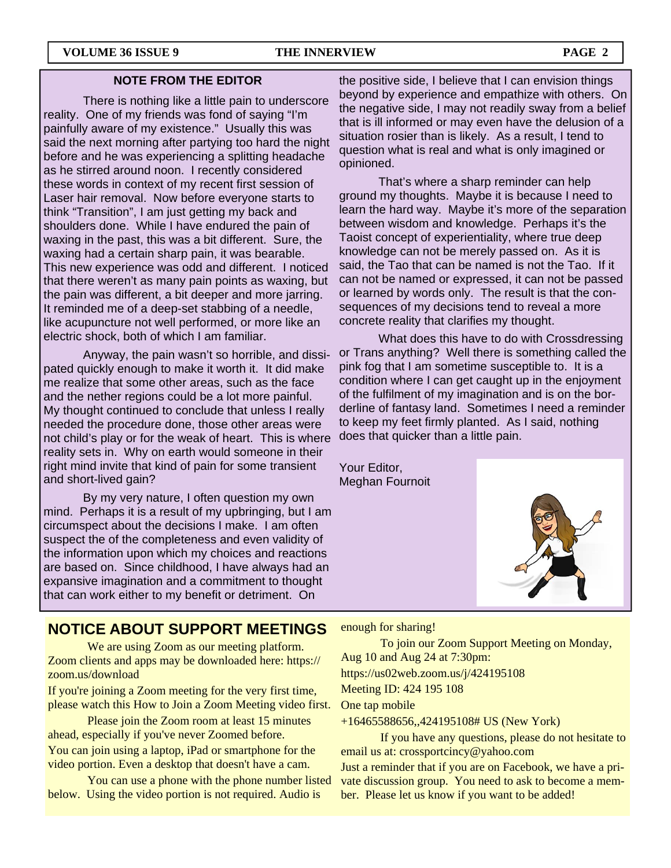### **NOTE FROM THE EDITOR**

 There is nothing like a little pain to underscore reality. One of my friends was fond of saying "I'm painfully aware of my existence." Usually this was said the next morning after partying too hard the night before and he was experiencing a splitting headache as he stirred around noon. I recently considered these words in context of my recent first session of Laser hair removal. Now before everyone starts to think "Transition", I am just getting my back and shoulders done. While I have endured the pain of waxing in the past, this was a bit different. Sure, the waxing had a certain sharp pain, it was bearable. This new experience was odd and different. I noticed that there weren't as many pain points as waxing, but the pain was different, a bit deeper and more jarring. It reminded me of a deep-set stabbing of a needle, like acupuncture not well performed, or more like an electric shock, both of which I am familiar.

 Anyway, the pain wasn't so horrible, and dissipated quickly enough to make it worth it. It did make me realize that some other areas, such as the face and the nether regions could be a lot more painful. My thought continued to conclude that unless I really needed the procedure done, those other areas were not child's play or for the weak of heart. This is where reality sets in. Why on earth would someone in their right mind invite that kind of pain for some transient and short-lived gain?

 By my very nature, I often question my own mind. Perhaps it is a result of my upbringing, but I am circumspect about the decisions I make. I am often suspect the of the completeness and even validity of the information upon which my choices and reactions are based on. Since childhood, I have always had an expansive imagination and a commitment to thought that can work either to my benefit or detriment. On

the positive side, I believe that I can envision things beyond by experience and empathize with others. On the negative side, I may not readily sway from a belief that is ill informed or may even have the delusion of a situation rosier than is likely. As a result, I tend to question what is real and what is only imagined or opinioned.

 That's where a sharp reminder can help ground my thoughts. Maybe it is because I need to learn the hard way. Maybe it's more of the separation between wisdom and knowledge. Perhaps it's the Taoist concept of experientiality, where true deep knowledge can not be merely passed on. As it is said, the Tao that can be named is not the Tao. If it can not be named or expressed, it can not be passed or learned by words only. The result is that the consequences of my decisions tend to reveal a more concrete reality that clarifies my thought.

 What does this have to do with Crossdressing or Trans anything? Well there is something called the pink fog that I am sometime susceptible to. It is a condition where I can get caught up in the enjoyment of the fulfilment of my imagination and is on the borderline of fantasy land. Sometimes I need a reminder to keep my feet firmly planted. As I said, nothing does that quicker than a little pain.

Your Editor, Meghan Fournoit



### **NOTICE ABOUT SUPPORT MEETINGS**

We are using Zoom as our meeting platform. Zoom clients and apps may be downloaded here: https:// zoom.us/download

If you're joining a Zoom meeting for the very first time, please watch this How to Join a Zoom Meeting video first.

 Please join the Zoom room at least 15 minutes ahead, especially if you've never Zoomed before. You can join using a laptop, iPad or smartphone for the

video portion. Even a desktop that doesn't have a cam.

 You can use a phone with the phone number listed below. Using the video portion is not required. Audio is

enough for sharing! To join our Zoom Support Meeting on Monday, Aug 10 and Aug 24 at 7:30pm: https://us02web.zoom.us/j/424195108 Meeting ID: 424 195 108 One tap mobile

+16465588656,,424195108# US (New York)

 If you have any questions, please do not hesitate to email us at: crossportcincy@yahoo.com

Just a reminder that if you are on Facebook, we have a private discussion group. You need to ask to become a member. Please let us know if you want to be added!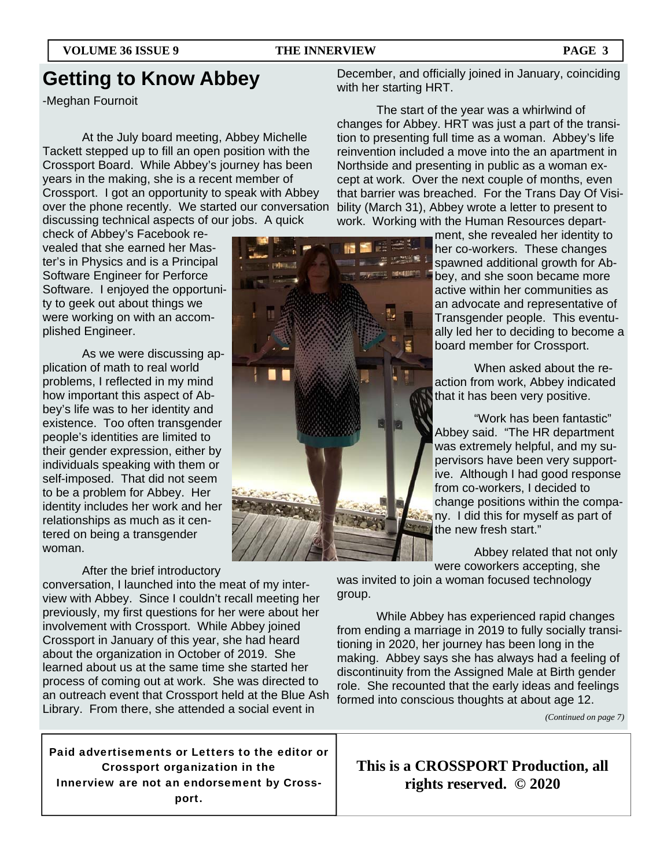### **Getting to Know Abbey**

-Meghan Fournoit

 At the July board meeting, Abbey Michelle Tackett stepped up to fill an open position with the Crossport Board. While Abbey's journey has been years in the making, she is a recent member of Crossport. I got an opportunity to speak with Abbey over the phone recently. We started our conversation discussing technical aspects of our jobs. A quick

check of Abbey's Facebook revealed that she earned her Master's in Physics and is a Principal Software Engineer for Perforce Software. I enjoyed the opportunity to geek out about things we were working on with an accomplished Engineer.

 As we were discussing application of math to real world problems, I reflected in my mind how important this aspect of Abbey's life was to her identity and existence. Too often transgender people's identities are limited to their gender expression, either by individuals speaking with them or self-imposed. That did not seem to be a problem for Abbey. Her identity includes her work and her relationships as much as it centered on being a transgender woman.

### After the brief introductory

conversation, I launched into the meat of my interview with Abbey. Since I couldn't recall meeting her previously, my first questions for her were about her involvement with Crossport. While Abbey joined Crossport in January of this year, she had heard about the organization in October of 2019. She learned about us at the same time she started her process of coming out at work. She was directed to an outreach event that Crossport held at the Blue Ash Library. From there, she attended a social event in

Paid advertisements or Letters to the editor or Crossport organization in the Innerview are not an endorsement by Crossport.

December, and officially joined in January, coinciding with her starting HRT.

 The start of the year was a whirlwind of changes for Abbey. HRT was just a part of the transition to presenting full time as a woman. Abbey's life reinvention included a move into the an apartment in Northside and presenting in public as a woman except at work. Over the next couple of months, even that barrier was breached. For the Trans Day Of Visibility (March 31), Abbey wrote a letter to present to work. Working with the Human Resources depart-

> ment, she revealed her identity to her co-workers. These changes spawned additional growth for Abbey, and she soon became more active within her communities as an advocate and representative of Transgender people. This eventually led her to deciding to become a board member for Crossport.

 When asked about the reaction from work, Abbey indicated that it has been very positive.

 "Work has been fantastic" Abbey said. "The HR department was extremely helpful, and my supervisors have been very supportive. Although I had good response from co-workers, I decided to change positions within the company. I did this for myself as part of the new fresh start."

 Abbey related that not only were coworkers accepting, she

was invited to join a woman focused technology group.

 While Abbey has experienced rapid changes from ending a marriage in 2019 to fully socially transitioning in 2020, her journey has been long in the making. Abbey says she has always had a feeling of discontinuity from the Assigned Male at Birth gender role. She recounted that the early ideas and feelings formed into conscious thoughts at about age 12.

*(Continued on page 7)* 

**This is a CROSSPORT Production, all rights reserved. © 2020** 

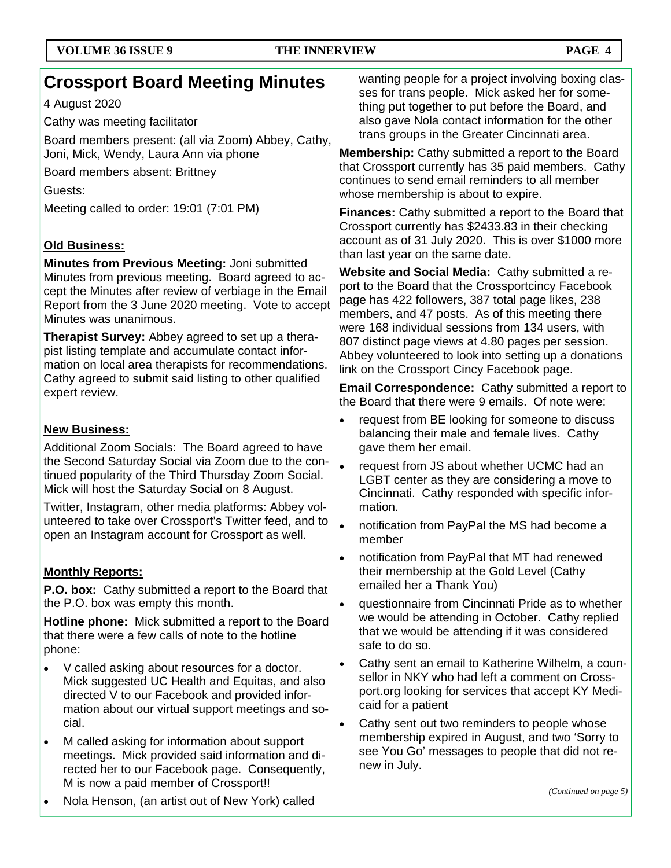### **Crossport Board Meeting Minutes**

4 August 2020

Cathy was meeting facilitator

Board members present: (all via Zoom) Abbey, Cathy, Joni, Mick, Wendy, Laura Ann via phone

Board members absent: Brittney

Guests:

Meeting called to order: 19:01 (7:01 PM)

### **Old Business:**

**Minutes from Previous Meeting:** Joni submitted Minutes from previous meeting. Board agreed to accept the Minutes after review of verbiage in the Email Report from the 3 June 2020 meeting. Vote to accept Minutes was unanimous.

**Therapist Survey:** Abbey agreed to set up a therapist listing template and accumulate contact information on local area therapists for recommendations. Cathy agreed to submit said listing to other qualified expert review.

### **New Business:**

Additional Zoom Socials: The Board agreed to have the Second Saturday Social via Zoom due to the continued popularity of the Third Thursday Zoom Social. Mick will host the Saturday Social on 8 August.

Twitter, Instagram, other media platforms: Abbey volunteered to take over Crossport's Twitter feed, and to open an Instagram account for Crossport as well.

### **Monthly Reports:**

**P.O. box:** Cathy submitted a report to the Board that the P.O. box was empty this month.

**Hotline phone:** Mick submitted a report to the Board that there were a few calls of note to the hotline phone:

- V called asking about resources for a doctor. Mick suggested UC Health and Equitas, and also directed V to our Facebook and provided information about our virtual support meetings and social.
- M called asking for information about support meetings. Mick provided said information and directed her to our Facebook page. Consequently, M is now a paid member of Crossport!!

wanting people for a project involving boxing classes for trans people. Mick asked her for something put together to put before the Board, and also gave Nola contact information for the other trans groups in the Greater Cincinnati area.

**Membership:** Cathy submitted a report to the Board that Crossport currently has 35 paid members. Cathy continues to send email reminders to all member whose membership is about to expire.

**Finances:** Cathy submitted a report to the Board that Crossport currently has \$2433.83 in their checking account as of 31 July 2020. This is over \$1000 more than last year on the same date.

**Website and Social Media:** Cathy submitted a report to the Board that the Crossportcincy Facebook page has 422 followers, 387 total page likes, 238 members, and 47 posts. As of this meeting there were 168 individual sessions from 134 users, with 807 distinct page views at 4.80 pages per session. Abbey volunteered to look into setting up a donations link on the Crossport Cincy Facebook page.

**Email Correspondence:** Cathy submitted a report to the Board that there were 9 emails. Of note were:

- request from BE looking for someone to discuss balancing their male and female lives. Cathy gave them her email.
- request from JS about whether UCMC had an LGBT center as they are considering a move to Cincinnati. Cathy responded with specific information.
- notification from PayPal the MS had become a member
- notification from PayPal that MT had renewed their membership at the Gold Level (Cathy emailed her a Thank You)
- questionnaire from Cincinnati Pride as to whether we would be attending in October. Cathy replied that we would be attending if it was considered safe to do so.
- Cathy sent an email to Katherine Wilhelm, a counsellor in NKY who had left a comment on Crossport.org looking for services that accept KY Medicaid for a patient
- Cathy sent out two reminders to people whose membership expired in August, and two 'Sorry to see You Go' messages to people that did not renew in July.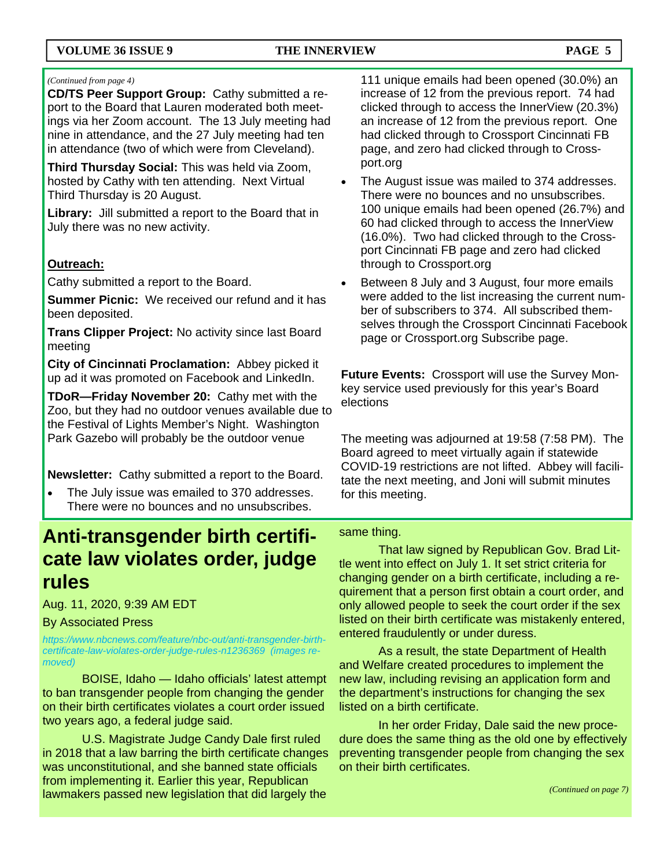### *(Continued from page 4)*

**CD/TS Peer Support Group:** Cathy submitted a report to the Board that Lauren moderated both meetings via her Zoom account. The 13 July meeting had nine in attendance, and the 27 July meeting had ten in attendance (two of which were from Cleveland).

**Third Thursday Social:** This was held via Zoom, hosted by Cathy with ten attending. Next Virtual Third Thursday is 20 August.

**Library:** Jill submitted a report to the Board that in July there was no new activity.

### **Outreach:**

Cathy submitted a report to the Board.

**Summer Picnic:** We received our refund and it has been deposited.

**Trans Clipper Project:** No activity since last Board meeting

**City of Cincinnati Proclamation:** Abbey picked it up ad it was promoted on Facebook and LinkedIn.

**TDoR—Friday November 20:** Cathy met with the Zoo, but they had no outdoor venues available due to the Festival of Lights Member's Night. Washington Park Gazebo will probably be the outdoor venue

**Newsletter:** Cathy submitted a report to the Board.

• The July issue was emailed to 370 addresses. There were no bounces and no unsubscribes.

### **Anti-transgender birth certificate law violates order, judge rules**

Aug. 11, 2020, 9:39 AM EDT

### By Associated Press

*https://www.nbcnews.com/feature/nbc-out/anti-transgender-birthcertificate-law-violates-order-judge-rules-n1236369 (images removed)* 

 BOISE, Idaho — Idaho officials' latest attempt to ban transgender people from changing the gender on their birth certificates violates a court order issued two years ago, a federal judge said.

 U.S. Magistrate Judge Candy Dale first ruled in 2018 that a law barring the birth certificate changes was unconstitutional, and she banned state officials from implementing it. Earlier this year, Republican lawmakers passed new legislation that did largely the

111 unique emails had been opened (30.0%) an increase of 12 from the previous report. 74 had clicked through to access the InnerView (20.3%) an increase of 12 from the previous report. One had clicked through to Crossport Cincinnati FB page, and zero had clicked through to Crossport.org

- The August issue was mailed to 374 addresses. There were no bounces and no unsubscribes. 100 unique emails had been opened (26.7%) and 60 had clicked through to access the InnerView (16.0%). Two had clicked through to the Crossport Cincinnati FB page and zero had clicked through to Crossport.org
- Between 8 July and 3 August, four more emails were added to the list increasing the current number of subscribers to 374. All subscribed themselves through the Crossport Cincinnati Facebook page or Crossport.org Subscribe page.

**Future Events:** Crossport will use the Survey Monkey service used previously for this year's Board elections

The meeting was adjourned at 19:58 (7:58 PM). The Board agreed to meet virtually again if statewide COVID-19 restrictions are not lifted. Abbey will facilitate the next meeting, and Joni will submit minutes for this meeting.

### same thing.

 That law signed by Republican Gov. Brad Little went into effect on July 1. It set strict criteria for changing gender on a birth certificate, including a requirement that a person first obtain a court order, and only allowed people to seek the court order if the sex listed on their birth certificate was mistakenly entered, entered fraudulently or under duress.

 As a result, the state Department of Health and Welfare created procedures to implement the new law, including revising an application form and the department's instructions for changing the sex listed on a birth certificate.

 In her order Friday, Dale said the new procedure does the same thing as the old one by effectively preventing transgender people from changing the sex on their birth certificates.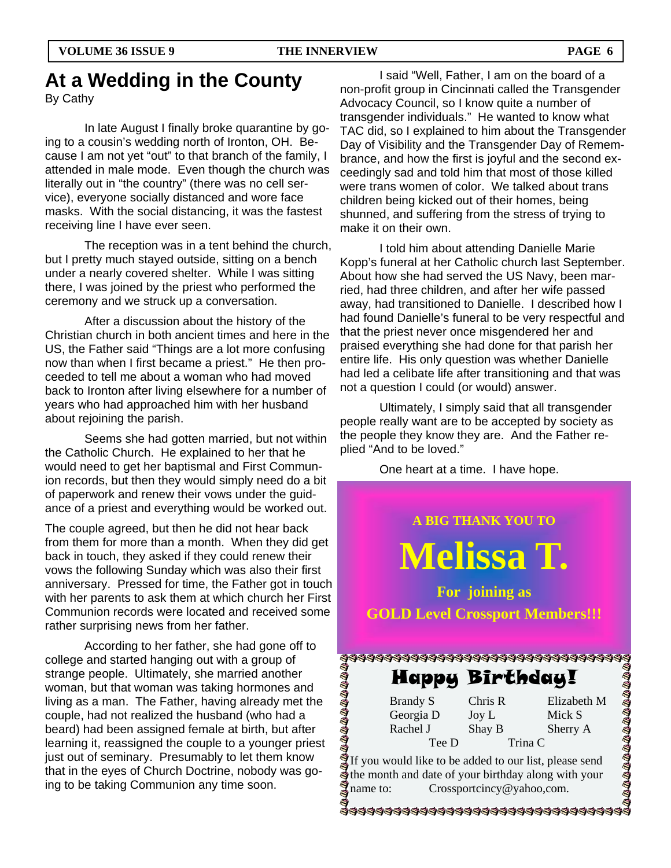### **At a Wedding in the County**

By Cathy

 In late August I finally broke quarantine by going to a cousin's wedding north of Ironton, OH. Because I am not yet "out" to that branch of the family, I attended in male mode. Even though the church was literally out in "the country" (there was no cell service), everyone socially distanced and wore face masks. With the social distancing, it was the fastest receiving line I have ever seen.

 The reception was in a tent behind the church, but I pretty much stayed outside, sitting on a bench under a nearly covered shelter. While I was sitting there, I was joined by the priest who performed the ceremony and we struck up a conversation.

 After a discussion about the history of the Christian church in both ancient times and here in the US, the Father said "Things are a lot more confusing now than when I first became a priest." He then proceeded to tell me about a woman who had moved back to Ironton after living elsewhere for a number of years who had approached him with her husband about rejoining the parish.

 Seems she had gotten married, but not within the Catholic Church. He explained to her that he would need to get her baptismal and First Communion records, but then they would simply need do a bit of paperwork and renew their vows under the guidance of a priest and everything would be worked out.

The couple agreed, but then he did not hear back from them for more than a month. When they did get back in touch, they asked if they could renew their vows the following Sunday which was also their first anniversary. Pressed for time, the Father got in touch with her parents to ask them at which church her First Communion records were located and received some rather surprising news from her father.

 According to her father, she had gone off to college and started hanging out with a group of strange people. Ultimately, she married another woman, but that woman was taking hormones and living as a man. The Father, having already met the couple, had not realized the husband (who had a beard) had been assigned female at birth, but after learning it, reassigned the couple to a younger priest just out of seminary. Presumably to let them know that in the eyes of Church Doctrine, nobody was going to be taking Communion any time soon.

 I said "Well, Father, I am on the board of a non-profit group in Cincinnati called the Transgender Advocacy Council, so I know quite a number of transgender individuals." He wanted to know what TAC did, so I explained to him about the Transgender Day of Visibility and the Transgender Day of Remembrance, and how the first is joyful and the second exceedingly sad and told him that most of those killed were trans women of color. We talked about trans children being kicked out of their homes, being shunned, and suffering from the stress of trying to make it on their own.

 I told him about attending Danielle Marie Kopp's funeral at her Catholic church last September. About how she had served the US Navy, been married, had three children, and after her wife passed away, had transitioned to Danielle. I described how I had found Danielle's funeral to be very respectful and that the priest never once misgendered her and praised everything she had done for that parish her entire life. His only question was whether Danielle had led a celibate life after transitioning and that was not a question I could (or would) answer.

 Ultimately, I simply said that all transgender people really want are to be accepted by society as the people they know they are. And the Father replied "And to be loved."

One heart at a time. I have hope.

**A BIG THANK YOU TO Melissa T. For joining as GOLD Level Crossport Members!!!**  \$\$\$\$\$\$\$\$\$\$\$\$\$\$\$\$\$\$\$\$\$\$\$\$\$\$\$\$\$\$\$\$\$\$\$ **DIADADADADADADADAD** Happy Birthday! Brandy S Chris R Elizabeth M Georgia D Joy L Mick S Rachel J Shay B Sherry A Tee D Trina C If you would like to be added to our list, please send the month and date of your birthday along with your name to: Crossportcincy@yahoo,com. \$\$\$\$\$\$\$\$\$\$\$\$\$\$\$\$\$\$\$\$\$\$\$\$\$\$\$\$\$\$\$\$\$\$\$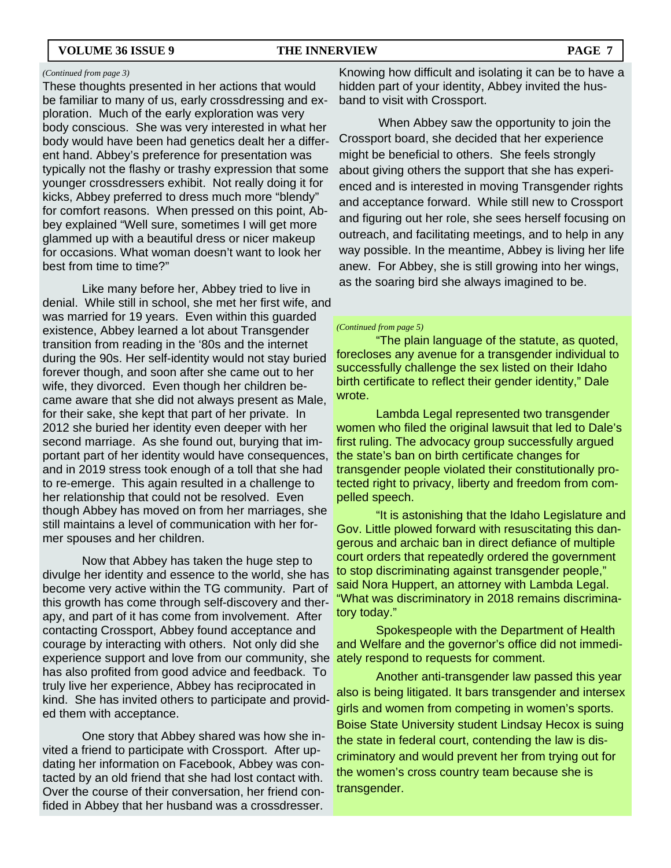### **VOLUME 36 ISSUE 9 THE INNERVIEW PAGE 7**

These thoughts presented in her actions that would be familiar to many of us, early crossdressing and exploration. Much of the early exploration was very body conscious. She was very interested in what her body would have been had genetics dealt her a different hand. Abbey's preference for presentation was typically not the flashy or trashy expression that some younger crossdressers exhibit. Not really doing it for kicks, Abbey preferred to dress much more "blendy" for comfort reasons. When pressed on this point, Abbey explained "Well sure, sometimes I will get more glammed up with a beautiful dress or nicer makeup for occasions. What woman doesn't want to look her best from time to time?"

 Like many before her, Abbey tried to live in denial. While still in school, she met her first wife, and was married for 19 years. Even within this guarded existence, Abbey learned a lot about Transgender transition from reading in the '80s and the internet during the 90s. Her self-identity would not stay buried forever though, and soon after she came out to her wife, they divorced. Even though her children became aware that she did not always present as Male, for their sake, she kept that part of her private. In 2012 she buried her identity even deeper with her second marriage. As she found out, burying that important part of her identity would have consequences, and in 2019 stress took enough of a toll that she had to re-emerge. This again resulted in a challenge to her relationship that could not be resolved. Even though Abbey has moved on from her marriages, she still maintains a level of communication with her former spouses and her children.

 Now that Abbey has taken the huge step to divulge her identity and essence to the world, she has become very active within the TG community. Part of this growth has come through self-discovery and therapy, and part of it has come from involvement. After contacting Crossport, Abbey found acceptance and courage by interacting with others. Not only did she experience support and love from our community, she ately respond to requests for comment. has also profited from good advice and feedback. To truly live her experience, Abbey has reciprocated in kind. She has invited others to participate and provided them with acceptance.

 One story that Abbey shared was how she invited a friend to participate with Crossport. After updating her information on Facebook, Abbey was contacted by an old friend that she had lost contact with. Over the course of their conversation, her friend confided in Abbey that her husband was a crossdresser.

Knowing how difficult and isolating it can be to have a hidden part of your identity, Abbey invited the husband to visit with Crossport.

 When Abbey saw the opportunity to join the Crossport board, she decided that her experience might be beneficial to others. She feels strongly about giving others the support that she has experienced and is interested in moving Transgender rights and acceptance forward. While still new to Crossport and figuring out her role, she sees herself focusing on outreach, and facilitating meetings, and to help in any way possible. In the meantime, Abbey is living her life anew. For Abbey, she is still growing into her wings, as the soaring bird she always imagined to be.

### *(Continued from page 5)*

 "The plain language of the statute, as quoted, forecloses any avenue for a transgender individual to successfully challenge the sex listed on their Idaho birth certificate to reflect their gender identity," Dale wrote.

 Lambda Legal represented two transgender women who filed the original lawsuit that led to Dale's first ruling. The advocacy group successfully argued the state's ban on birth certificate changes for transgender people violated their constitutionally protected right to privacy, liberty and freedom from compelled speech.

 "It is astonishing that the Idaho Legislature and Gov. Little plowed forward with resuscitating this dangerous and archaic ban in direct defiance of multiple court orders that repeatedly ordered the government to stop discriminating against transgender people," said Nora Huppert, an attorney with Lambda Legal. "What was discriminatory in 2018 remains discriminatory today."

 Spokespeople with the Department of Health and Welfare and the governor's office did not immedi-

 Another anti-transgender law passed this year also is being litigated. It bars transgender and intersex girls and women from competing in women's sports. Boise State University student Lindsay Hecox is suing the state in federal court, contending the law is discriminatory and would prevent her from trying out for the women's cross country team because she is transgender.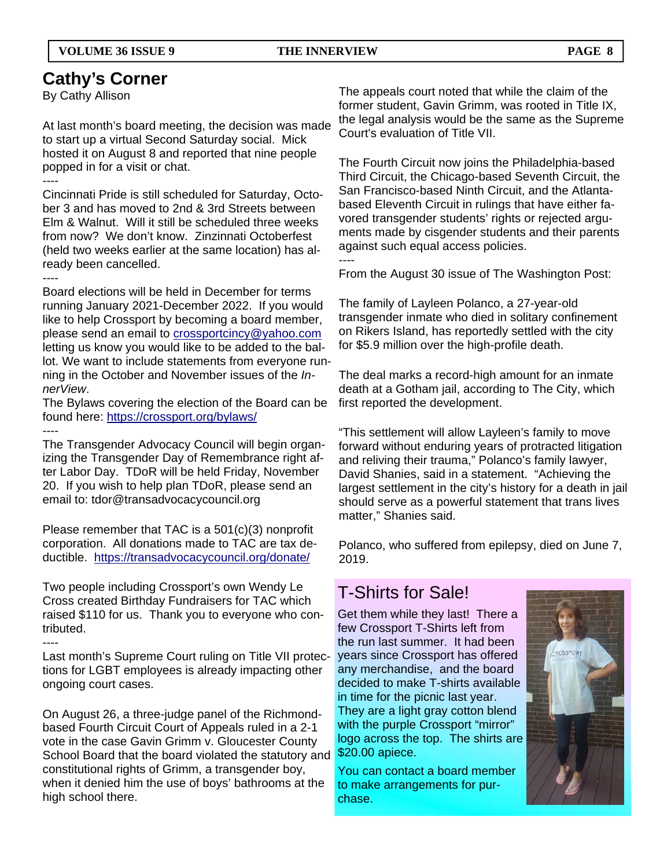### **Cathy's Corner**

By Cathy Allison

At last month's board meeting, the decision was made to start up a virtual Second Saturday social. Mick hosted it on August 8 and reported that nine people popped in for a visit or chat. ----

Cincinnati Pride is still scheduled for Saturday, October 3 and has moved to 2nd & 3rd Streets between Elm & Walnut. Will it still be scheduled three weeks from now? We don't know. Zinzinnati Octoberfest (held two weeks earlier at the same location) has already been cancelled.

----

Board elections will be held in December for terms running January 2021-December 2022. If you would like to help Crossport by becoming a board member, please send an email to crossportcincy@yahoo.com letting us know you would like to be added to the ballot. We want to include statements from everyone running in the October and November issues of the *InnerView*.

The Bylaws covering the election of the Board can be found here: https://crossport.org/bylaws/ ----

The Transgender Advocacy Council will begin organizing the Transgender Day of Remembrance right after Labor Day. TDoR will be held Friday, November 20. If you wish to help plan TDoR, please send an email to: tdor@transadvocacycouncil.org

Please remember that TAC is a 501(c)(3) nonprofit corporation. All donations made to TAC are tax deductible. https://transadvocacycouncil.org/donate/

Two people including Crossport's own Wendy Le Cross created Birthday Fundraisers for TAC which raised \$110 for us. Thank you to everyone who contributed.

----

Last month's Supreme Court ruling on Title VII protections for LGBT employees is already impacting other ongoing court cases.

On August 26, a three-judge panel of the Richmondbased Fourth Circuit Court of Appeals ruled in a 2-1 vote in the case Gavin Grimm v. Gloucester County School Board that the board violated the statutory and constitutional rights of Grimm, a transgender boy, when it denied him the use of boys' bathrooms at the high school there.

The appeals court noted that while the claim of the former student, Gavin Grimm, was rooted in Title IX, the legal analysis would be the same as the Supreme Court's evaluation of Title VII.

The Fourth Circuit now joins the Philadelphia-based Third Circuit, the Chicago-based Seventh Circuit, the San Francisco-based Ninth Circuit, and the Atlantabased Eleventh Circuit in rulings that have either favored transgender students' rights or rejected arguments made by cisgender students and their parents against such equal access policies. ----

From the August 30 issue of The Washington Post:

The family of Layleen Polanco, a 27-year-old transgender inmate who died in solitary confinement on Rikers Island, has reportedly settled with the city for \$5.9 million over the high-profile death.

The deal marks a record-high amount for an inmate death at a Gotham jail, according to The City, which first reported the development.

"This settlement will allow Layleen's family to move forward without enduring years of protracted litigation and reliving their trauma," Polanco's family lawyer, David Shanies, said in a statement. "Achieving the largest settlement in the city's history for a death in jail should serve as a powerful statement that trans lives matter," Shanies said.

Polanco, who suffered from epilepsy, died on June 7, 2019.

### T-Shirts for Sale!

Get them while they last! There a few Crossport T-Shirts left from the run last summer. It had been years since Crossport has offered any merchandise, and the board decided to make T-shirts available in time for the picnic last year. They are a light gray cotton blend with the purple Crossport "mirror" logo across the top. The shirts are \$20.00 apiece.

You can contact a board member to make arrangements for purchase.

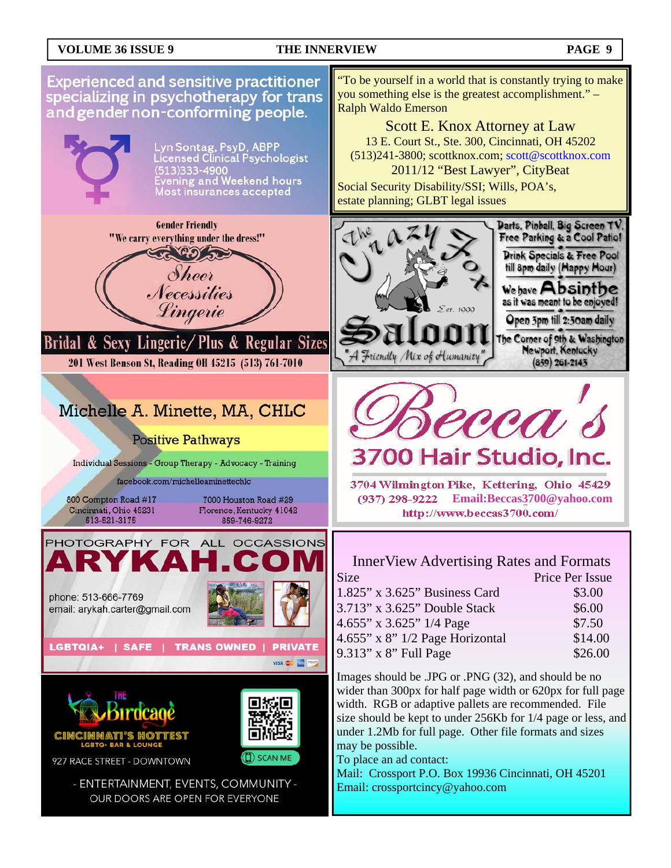### **VOLUME 36 ISSUE 9 THE INNERVIEW PAGE 9**